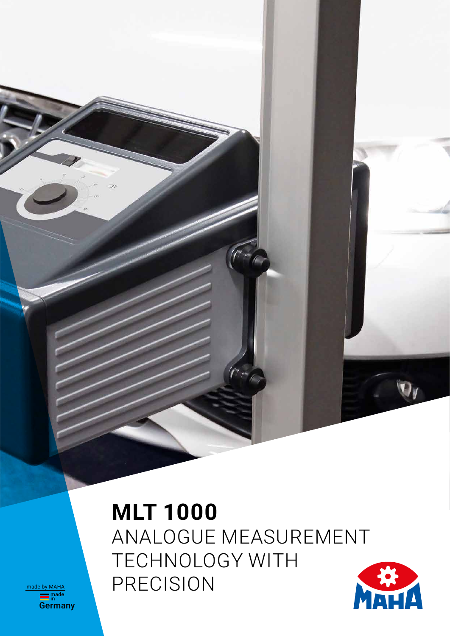**MLT 1000** ANALOGUE MEASUREMENT TECHNOLOGY WITH PRECISION